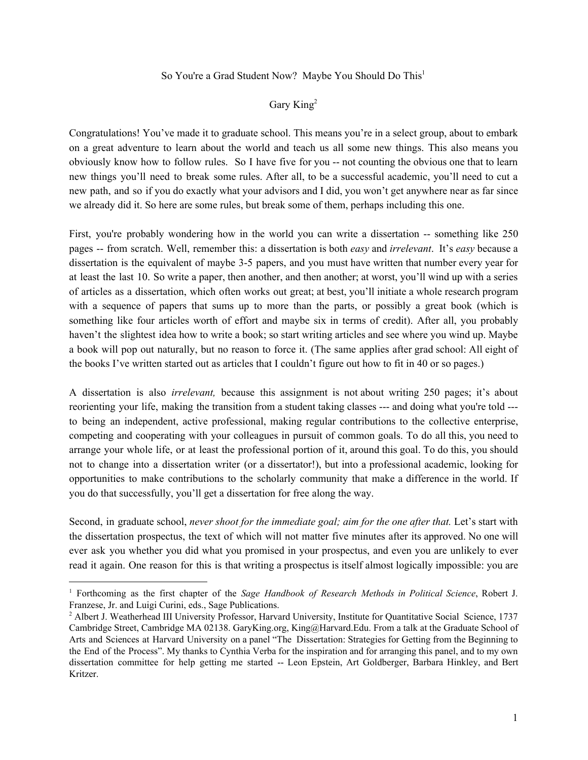## So You're a Grad Student Now? Maybe You Should Do This<sup>1</sup>

## Gary King 2

Congratulations! You've made it to graduate school. This means you're in a select group, about to embark on a great adventure to learn about the world and teach us all some new things. This also means you obviously know how to follow rules. So I have five for you -- not counting the obvious one that to learn new things you'll need to break some rules. After all, to be a successful academic, you'll need to cut a new path, and so if you do exactly what your advisors and I did, you won't get anywhere near as far since we already did it. So here are some rules, but break some of them, perhaps including this one.

First, you're probably wondering how in the world you can write a dissertation -- something like 250 pages -- from scratch. Well, remember this: a dissertation is both *easy* and *irrelevant*. It's *easy* because a dissertation is the equivalent of maybe 3-5 papers, and you must have written that number every year for at least the last 10. So write a paper, then another, and then another; at worst, you'll wind up with a series of articles as a dissertation, which often works out great; at best, you'll initiate a whole research program with a sequence of papers that sums up to more than the parts, or possibly a great book (which is something like four articles worth of effort and maybe six in terms of credit). After all, you probably haven't the slightest idea how to write a book; so start writing articles and see where you wind up. Maybe a book will pop out naturally, but no reason to force it. (The same applies after grad school: All eight of the books I've written started out as articles that I couldn't figure out how to fit in 40 or so pages.)

A dissertation is also *irrelevant,* because this assignment is not about writing 250 pages; it's about reorienting your life, making the transition from a student taking classes --- and doing what you're told -- to being an independent, active professional, making regular contributions to the collective enterprise, competing and cooperating with your colleagues in pursuit of common goals. To do all this, you need to arrange your whole life, or at least the professional portion of it, around this goal. To do this, you should not to change into a dissertation writer (or a dissertator!), but into a professional academic, looking for opportunities to make contributions to the scholarly community that make a difference in the world. If you do that successfully, you'll get a dissertation for free along the way.

Second, in graduate school, *never shoot for the immediate goal; aim for the one after that.* Let's start with the dissertation prospectus, the text of which will not matter five minutes after its approved. No one will ever ask you whether you did what you promised in your prospectus, and even you are unlikely to ever read it again. One reason for this is that writing a prospectus is itself almost logically impossible: you are

<sup>1</sup> Forthcoming as the first chapter of the *Sage Handbook of Research Methods in Political Science*, Robert J. Franzese, Jr. and Luigi Curini, eds., Sage Publications.

<sup>&</sup>lt;sup>2</sup> Albert J. Weatherhead III University Professor, Harvard University, Institute for Quantitative Social Science, 1737 Cambridge Street, Cambridge MA 02138. GaryKing.org, King@Harvard.Edu. From a talk at the Graduate School of Arts and Sciences at Harvard University on a panel "The Dissertation: Strategies for Getting from the Beginning to the End of the Process". My thanks to Cynthia Verba for the inspiration and for arranging this panel, and to my own dissertation committee for help getting me started -- Leon Epstein, Art Goldberger, Barbara Hinkley, and Bert Kritzer.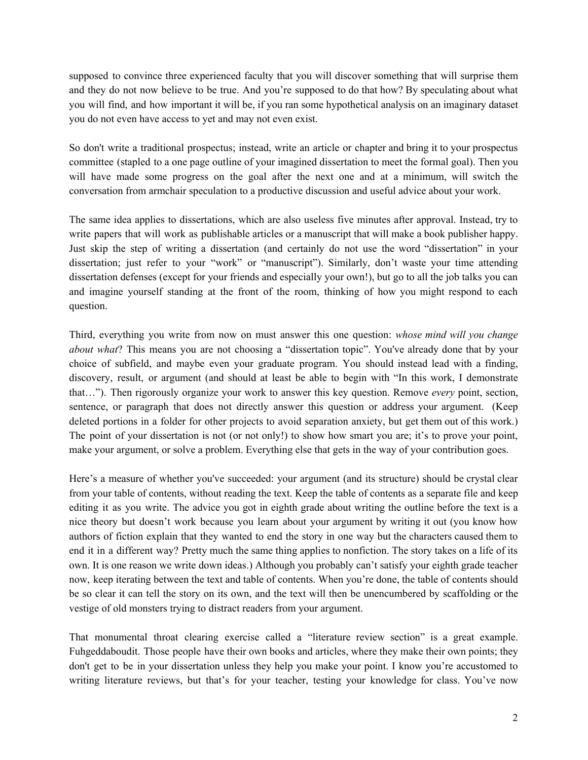supposed to convince three experienced faculty that you will discover something that will surprise them and they do not now believe to be true. And you're supposed to do that how? By speculating about what you will find, and how important it will be, if you ran some hypothetical analysis on an imaginary dataset you do not even have access to yet and may not even exist.

So don't write a traditional prospectus; instead, write an article or chapter and bring it to your prospectus committee (stapled to a one page outline of your imagined dissertation to meet the formal goal). Then you will have made some progress on the goal after the next one and at a minimum, will switch the conversation from armchair speculation to a productive discussion and useful advice about your work.

The same idea applies to dissertations, which are also useless five minutes after approval. Instead, try to write papers that will work as publishable articles or a manuscript that will make a book publisher happy. Just skip the step of writing a dissertation (and certainly do not use the word "dissertation" in your dissertation; just refer to your "work" or "manuscript"). Similarly, don't waste your time attending dissertation defenses (except for your friends and especially your own!), but go to all the job talks you can and imagine yourself standing at the front of the room, thinking of how you might respond to each question.

Third, everything you write from now on must answer this one question: *whose mind will you change about what*? This means you are not choosing a "dissertation topic". You've already done that by your choice of subfield, and maybe even your graduate program. You should instead lead with a finding, discovery, result, or argument (and should at least be able to begin with "In this work, I demonstrate that…"). Then rigorously organize your work to answer this key question. Remove *every* point, section, sentence, or paragraph that does not directly answer this question or address your argument. (Keep deleted portions in a folder for other projects to avoid separation anxiety, but get them out of this work.) The point of your dissertation is not (or not only!) to show how smart you are; it's to prove your point, make your argument, or solve a problem. Everything else that gets in the way of your contribution goes.

Here's a measure of whether you've succeeded: your argument (and its structure) should be crystal clear from your table of contents, without reading the text. Keep the table of contents as a separate file and keep editing it as you write. The advice you got in eighth grade about writing the outline before the text is a nice theory but doesn't work because you learn about your argument by writing it out (you know how authors of fiction explain that they wanted to end the story in one way but the characters caused them to end it in a different way? Pretty much the same thing applies to nonfiction. The story takes on a life of its own. It is one reason we write down ideas.) Although you probably can't satisfy your eighth grade teacher now, keep iterating between the text and table of contents. When you're done, the table of contents should be so clear it can tell the story on its own, and the text will then be unencumbered by scaffolding or the vestige of old monsters trying to distract readers from your argument.

That monumental throat clearing exercise called a "literature review section" is a great example. Fuhgeddaboudit. Those people have their own books and articles, where they make their own points; they don't get to be in your dissertation unless they help you make your point. I know you're accustomed to writing literature reviews, but that's for your teacher, testing your knowledge for class. You've now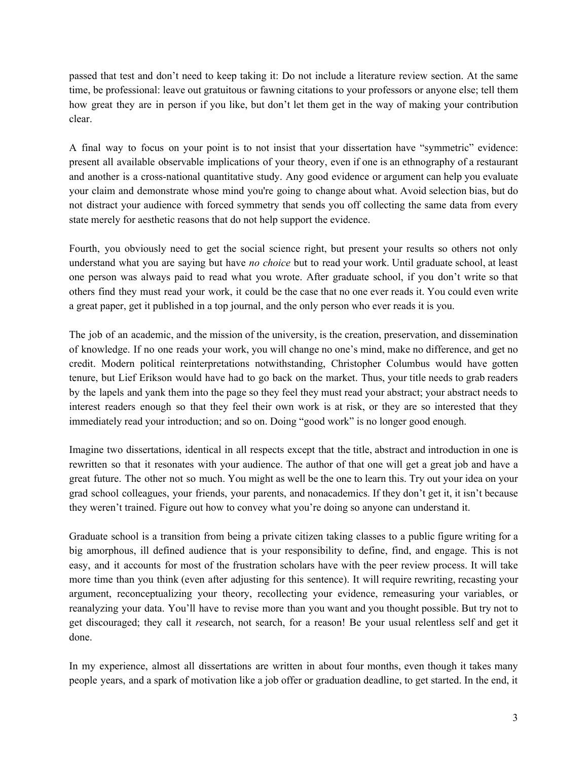passed that test and don't need to keep taking it: Do not include a literature review section. At the same time, be professional: leave out gratuitous or fawning citations to your professors or anyone else; tell them how great they are in person if you like, but don't let them get in the way of making your contribution clear.

A final way to focus on your point is to not insist that your dissertation have "symmetric" evidence: present all available observable implications of your theory, even if one is an ethnography of a restaurant and another is a cross-national quantitative study. Any good evidence or argument can help you evaluate your claim and demonstrate whose mind you're going to change about what. Avoid selection bias, but do not distract your audience with forced symmetry that sends you off collecting the same data from every state merely for aesthetic reasons that do not help support the evidence.

Fourth, you obviously need to get the social science right, but present your results so others not only understand what you are saying but have *no choice* but to read your work. Until graduate school, at least one person was always paid to read what you wrote. After graduate school, if you don't write so that others find they must read your work, it could be the case that no one ever reads it. You could even write a great paper, get it published in a top journal, and the only person who ever reads it is you.

The job of an academic, and the mission of the university, is the creation, preservation, and dissemination of knowledge. If no one reads your work, you will change no one's mind, make no difference, and get no credit. Modern political reinterpretations notwithstanding, Christopher Columbus would have gotten tenure, but Lief Erikson would have had to go back on the market. Thus, your title needs to grab readers by the lapels and yank them into the page so they feel they must read your abstract; your abstract needs to interest readers enough so that they feel their own work is at risk, or they are so interested that they immediately read your introduction; and so on. Doing "good work" is no longer good enough.

Imagine two dissertations, identical in all respects except that the title, abstract and introduction in one is rewritten so that it resonates with your audience. The author of that one will get a great job and have a great future. The other not so much. You might as well be the one to learn this. Try out your idea on your grad school colleagues, your friends, your parents, and nonacademics. If they don't get it, it isn't because they weren't trained. Figure out how to convey what you're doing so anyone can understand it.

Graduate school is a transition from being a private citizen taking classes to a public figure writing for a big amorphous, ill defined audience that is your responsibility to define, find, and engage. This is not easy, and it accounts for most of the frustration scholars have with the peer review process. It will take more time than you think (even after adjusting for this sentence). It will require rewriting, recasting your argument, reconceptualizing your theory, recollecting your evidence, remeasuring your variables, or reanalyzing your data. You'll have to revise more than you want and you thought possible. But try not to get discouraged; they call it *re*search, not search, for a reason! Be your usual relentless self and get it done.

In my experience, almost all dissertations are written in about four months, even though it takes many people years, and a spark of motivation like a job offer or graduation deadline, to get started. In the end, it